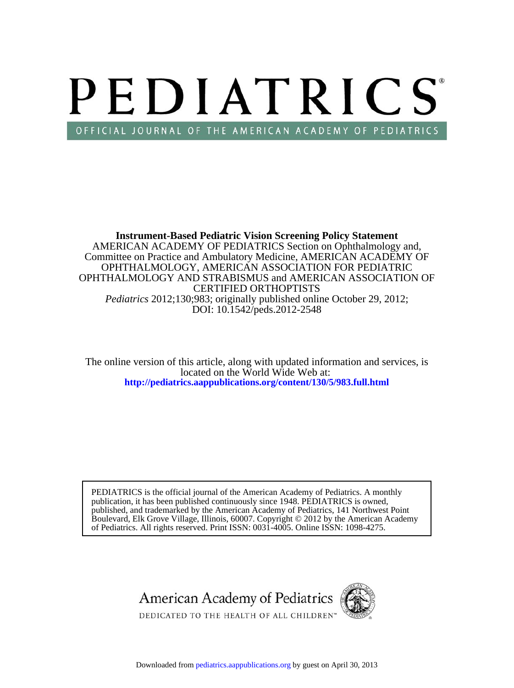# PEDIATRICS OFFICIAL JOURNAL OF THE AMERICAN ACADEMY OF PEDIATRICS

DOI: 10.1542/peds.2012-2548 *Pediatrics* 2012;130;983; originally published online October 29, 2012; CERTIFIED ORTHOPTISTS OPHTHALMOLOGY AND STRABISMUS and AMERICAN ASSOCIATION OF OPHTHALMOLOGY, AMERICAN ASSOCIATION FOR PEDIATRIC Committee on Practice and Ambulatory Medicine, AMERICAN ACADEMY OF AMERICAN ACADEMY OF PEDIATRICS Section on Ophthalmology and, **Instrument-Based Pediatric Vision Screening Policy Statement**

**<http://pediatrics.aappublications.org/content/130/5/983.full.html>** located on the World Wide Web at: The online version of this article, along with updated information and services, is

of Pediatrics. All rights reserved. Print ISSN: 0031-4005. Online ISSN: 1098-4275. Boulevard, Elk Grove Village, Illinois, 60007. Copyright © 2012 by the American Academy published, and trademarked by the American Academy of Pediatrics, 141 Northwest Point publication, it has been published continuously since 1948. PEDIATRICS is owned, PEDIATRICS is the official journal of the American Academy of Pediatrics. A monthly

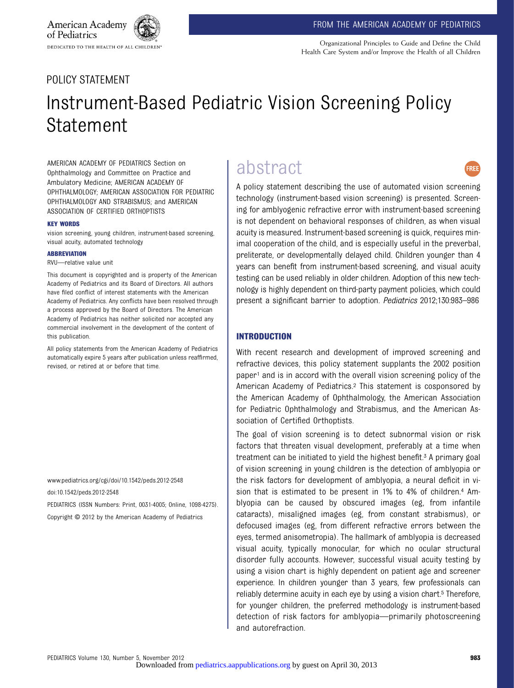Organizational Principles to Guide and Define the Child Health Care System and/or Improve the Health of all Children

# POLICY STATEMENT

American Academy

DEDICATED TO THE HEALTH OF ALL CHILDREN"

of Pediatrics

# Instrument-Based Pediatric Vision Screening Policy Statement

AMERICAN ACADEMY OF PEDIATRICS Section on Ophthalmology and Committee on Practice and Ambulatory Medicine; AMERICAN ACADEMY OF OPHTHALMOLOGY; AMERICAN ASSOCIATION FOR PEDIATRIC OPHTHALMOLOGY AND STRABISMUS; and AMERICAN ASSOCIATION OF CERTIFIED ORTHOPTISTS

#### KEY WORDS

vision screening, young children, instrument-based screening, visual acuity, automated technology

#### **ABBREVIATION**

RVU—relative value unit

This document is copyrighted and is property of the American Academy of Pediatrics and its Board of Directors. All authors have filed conflict of interest statements with the American Academy of Pediatrics. Any conflicts have been resolved through a process approved by the Board of Directors. The American Academy of Pediatrics has neither solicited nor accepted any commercial involvement in the development of the content of this publication.

All policy statements from the American Academy of Pediatrics automatically expire 5 years after publication unless reaffirmed, revised, or retired at or before that time.

www.pediatrics.org/cgi/doi/10.1542/peds.2012-2548 doi:10.1542/peds.2012-2548

PEDIATRICS (ISSN Numbers: Print, 0031-4005; Online, 1098-4275). Copyright © 2012 by the American Academy of Pediatrics

# abstract

A policy statement describing the use of automated vision screening technology (instrument-based vision screening) is presented. Screening for amblyogenic refractive error with instrument-based screening is not dependent on behavioral responses of children, as when visual acuity is measured. Instrument-based screening is quick, requires minimal cooperation of the child, and is especially useful in the preverbal, preliterate, or developmentally delayed child. Children younger than 4 years can benefit from instrument-based screening, and visual acuity testing can be used reliably in older children. Adoption of this new technology is highly dependent on third-party payment policies, which could present a significant barrier to adoption. Pediatrics 2012;130:983–986

# INTRODUCTION

With recent research and development of improved screening and refractive devices, this policy statement supplants the 2002 position paper<sup>1</sup> and is in accord with the overall vision screening policy of the American Academy of Pediatrics.2 This statement is cosponsored by the American Academy of Ophthalmology, the American Association for Pediatric Ophthalmology and Strabismus, and the American Association of Certified Orthoptists.

The goal of vision screening is to detect subnormal vision or risk factors that threaten visual development, preferably at a time when treatment can be initiated to yield the highest benefit.<sup>3</sup> A primary goal of vision screening in young children is the detection of amblyopia or the risk factors for development of amblyopia, a neural deficit in vision that is estimated to be present in 1% to 4% of children.<sup>4</sup> Amblyopia can be caused by obscured images (eg, from infantile cataracts), misaligned images (eg, from constant strabismus), or defocused images (eg, from different refractive errors between the eyes, termed anisometropia). The hallmark of amblyopia is decreased visual acuity, typically monocular, for which no ocular structural disorder fully accounts. However, successful visual acuity testing by using a vision chart is highly dependent on patient age and screener experience. In children younger than 3 years, few professionals can reliably determine acuity in each eye by using a vision chart.<sup>5</sup> Therefore, for younger children, the preferred methodology is instrument-based detection of risk factors for amblyopia—primarily photoscreening and autorefraction.

FREE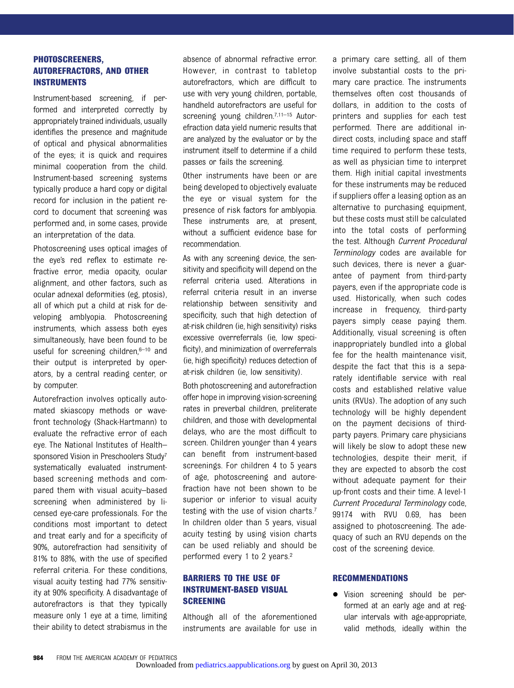# PHOTOSCREENERS, AUTOREFRACTORS, AND OTHER INSTRUMENTS

Instrument-based screening, if performed and interpreted correctly by appropriately trained individuals, usually identifies the presence and magnitude of optical and physical abnormalities of the eyes; it is quick and requires minimal cooperation from the child. Instrument-based screening systems typically produce a hard copy or digital record for inclusion in the patient record to document that screening was performed and, in some cases, provide an interpretation of the data.

Photoscreening uses optical images of the eye's red reflex to estimate refractive error, media opacity, ocular alignment, and other factors, such as ocular adnexal deformities (eg, ptosis), all of which put a child at risk for developing amblyopia. Photoscreening instruments, which assess both eyes simultaneously, have been found to be useful for screening children, $6-10$  and their output is interpreted by operators, by a central reading center, or by computer.

Autorefraction involves optically automated skiascopy methods or wavefront technology (Shack-Hartmann) to evaluate the refractive error of each eye. The National Institutes of Health– sponsored Vision in Preschoolers Study<sup>7</sup> systematically evaluated instrumentbased screening methods and compared them with visual acuity–based screening when administered by licensed eye-care professionals. For the conditions most important to detect and treat early and for a specificity of 90%, autorefraction had sensitivity of 81% to 88%, with the use of specified referral criteria. For these conditions, visual acuity testing had 77% sensitivity at 90% specificity. A disadvantage of autorefractors is that they typically measure only 1 eye at a time, limiting their ability to detect strabismus in the

absence of abnormal refractive error. However, in contrast to tabletop autorefractors, which are difficult to use with very young children, portable, handheld autorefractors are useful for screening young children.<sup>7,11-15</sup> Autorefraction data yield numeric results that are analyzed by the evaluator or by the instrument itself to determine if a child passes or fails the screening.

Other instruments have been or are being developed to objectively evaluate the eye or visual system for the presence of risk factors for amblyopia. These instruments are, at present, without a sufficient evidence base for recommendation.

As with any screening device, the sensitivity and specificity will depend on the referral criteria used. Alterations in referral criteria result in an inverse relationship between sensitivity and specificity, such that high detection of at-risk children (ie, high sensitivity) risks excessive overreferrals (ie, low specificity), and minimization of overreferrals (ie, high specificity) reduces detection of at-risk children (ie, low sensitivity).

Both photoscreening and autorefraction offer hope in improving vision-screening rates in preverbal children, preliterate children, and those with developmental delays, who are the most difficult to screen. Children younger than 4 years can benefit from instrument-based screenings. For children 4 to 5 years of age, photoscreening and autorefraction have not been shown to be superior or inferior to visual acuity testing with the use of vision charts.7 In children older than 5 years, visual acuity testing by using vision charts can be used reliably and should be performed every 1 to 2 years.2

# BARRIERS TO THE USE OF INSTRUMENT-BASED VISUAL **SCREENING**

Although all of the aforementioned instruments are available for use in a primary care setting, all of them involve substantial costs to the primary care practice. The instruments themselves often cost thousands of dollars, in addition to the costs of printers and supplies for each test performed. There are additional indirect costs, including space and staff time required to perform these tests, as well as physician time to interpret them. High initial capital investments for these instruments may be reduced if suppliers offer a leasing option as an alternative to purchasing equipment, but these costs must still be calculated into the total costs of performing the test. Although Current Procedural Terminology codes are available for such devices, there is never a guarantee of payment from third-party payers, even if the appropriate code is used. Historically, when such codes increase in frequency, third-party payers simply cease paying them. Additionally, visual screening is often inappropriately bundled into a global fee for the health maintenance visit, despite the fact that this is a separately identifiable service with real costs and established relative value units (RVUs). The adoption of any such technology will be highly dependent on the payment decisions of thirdparty payers. Primary care physicians will likely be slow to adopt these new technologies, despite their merit, if they are expected to absorb the cost without adequate payment for their up-front costs and their time. A level-1 Current Procedural Terminology code, 99174 with RVU 0.69, has been assigned to photoscreening. The adequacy of such an RVU depends on the cost of the screening device.

# RECOMMENDATIONS

• Vision screening should be performed at an early age and at regular intervals with age-appropriate, valid methods, ideally within the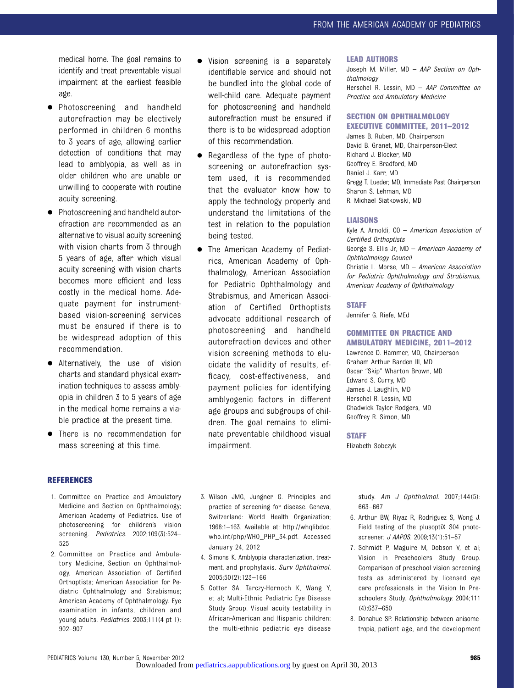medical home. The goal remains to identify and treat preventable visual impairment at the earliest feasible age.

- Photoscreening and handheld autorefraction may be electively performed in children 6 months to 3 years of age, allowing earlier detection of conditions that may lead to amblyopia, as well as in older children who are unable or unwilling to cooperate with routine acuity screening.
- Photoscreening and handheld autorefraction are recommended as an alternative to visual acuity screening with vision charts from 3 through 5 years of age, after which visual acuity screening with vision charts becomes more efficient and less costly in the medical home. Adequate payment for instrumentbased vision-screening services must be ensured if there is to be widespread adoption of this recommendation.
- Alternatively, the use of vision charts and standard physical examination techniques to assess amblyopia in children 3 to 5 years of age in the medical home remains a viable practice at the present time.
- There is no recommendation for mass screening at this time.
- Vision screening is a separately identifiable service and should not be bundled into the global code of well-child care. Adequate payment for photoscreening and handheld autorefraction must be ensured if there is to be widespread adoption of this recommendation.
- Regardless of the type of photoscreening or autorefraction system used, it is recommended that the evaluator know how to apply the technology properly and understand the limitations of the test in relation to the population being tested.
- The American Academy of Pediatrics, American Academy of Ophthalmology, American Association for Pediatric Ophthalmology and Strabismus, and American Association of Certified Orthoptists advocate additional research of photoscreening and handheld autorefraction devices and other vision screening methods to elucidate the validity of results, efficacy, cost-effectiveness, and payment policies for identifying amblyogenic factors in different age groups and subgroups of children. The goal remains to eliminate preventable childhood visual impairment.

#### LEAD AUTHORS

Joseph M. Miller, MD – AAP Section on Ophthalmology Herschel R. Lessin, MD – AAP Committee on Practice and Ambulatory Medicine

#### SECTION ON OPHTHALMOLOGY EXECUTIVE COMMITTEE, 2011–2012

James B. Ruben, MD, Chairperson David B. Granet, MD, Chairperson-Elect Richard J. Blocker, MD Geoffrey E. Bradford, MD Daniel J. Karr, MD Gregg T. Lueder, MD, Immediate Past Chairperson Sharon S. Lehman, MD R. Michael Siatkowski, MD

### LIAISONS

Kyle A. Arnoldi,  $CO - American Association of$ Certified Orthoptists George S. Ellis Jr, MD – American Academy of Ophthalmology Council Christie L. Morse, MD – American Association for Pediatric Ophthalmology and Strabismus, American Academy of Ophthalmology

### **STAFF**

Jennifer G. Riefe, MEd

#### COMMITTEE ON PRACTICE AND AMBULATORY MEDICINE, 2011–2012

Lawrence D. Hammer, MD, Chairperson Graham Arthur Barden III, MD Oscar "Skip" Wharton Brown, MD Edward S. Curry, MD James J. Laughlin, MD Herschel R. Lessin, MD Chadwick Taylor Rodgers, MD Geoffrey R. Simon, MD

## STAFF

Elizabeth Sobczyk

### **REFERENCES**

- 1. Committee on Practice and Ambulatory Medicine and Section on Ophthalmology; American Academy of Pediatrics. Use of photoscreening for children's vision screening. Pediatrics. 2002;109(3):524– 525
- 2. Committee on Practice and Ambulatory Medicine, Section on Ophthalmology, American Association of Certified Orthoptists; American Association for Pediatric Ophthalmology and Strabismus; American Academy of Ophthalmology. Eye examination in infants, children and young adults. Pediatrics. 2003;111(4 pt 1): 902–907

3. Wilson JMG, Jungner G. Principles and practice of screening for disease. Geneva, Switzerland: World Health Organization; 1968:1–163. Available at: [http://whqlibdoc.](http://whqlibdoc.who.int/php/WHO_PHP_34.pdf) [who.int/php/WHO\\_PHP\\_34.pdf.](http://whqlibdoc.who.int/php/WHO_PHP_34.pdf) Accessed January 24, 2012

- 4. Simons K. Amblyopia characterization, treatment, and prophylaxis. Surv Ophthalmol. 2005;50(2):123–166
- 5. Cotter SA, Tarczy-Hornoch K, Wang Y, et al; Multi-Ethnic Pediatric Eye Disease Study Group. Visual acuity testability in African-American and Hispanic children: the multi-ethnic pediatric eye disease

study. Am J 0phthalmol. 2007;144(5): 663–667

- 6. Arthur BW, Riyaz R, Rodriguez S, Wong J. Field testing of the plusoptiX S04 photoscreener. J AAPOS. 2009;13(1):51-57
- 7. Schmidt P, Maguire M, Dobson V, et al; Vision in Preschoolers Study Group. Comparison of preschool vision screening tests as administered by licensed eye care professionals in the Vision In Preschoolers Study. Ophthalmology. 2004;111 (4):637–650
- 8. Donahue SP. Relationship between anisometropia, patient age, and the development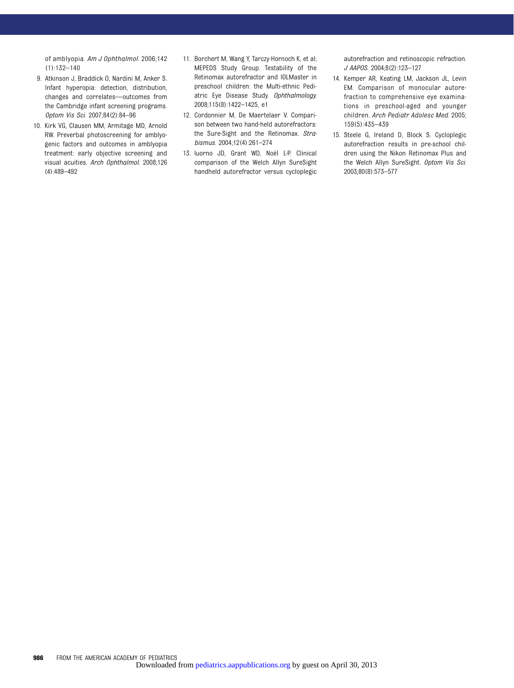of amblyopia. Am J Ophthalmol. 2006;142 (1):132–140

- 9. Atkinson J, Braddick O, Nardini M, Anker S. Infant hyperopia: detection, distribution, changes and correlates—outcomes from the Cambridge infant screening programs. Optom Vis Sci. 2007;84(2):84–96
- 10. Kirk VG, Clausen MM, Armitage MD, Arnold RW. Preverbal photoscreening for amblyogenic factors and outcomes in amblyopia treatment: early objective screening and visual acuities. Arch Ophthalmol. 2008;126 (4):489–492
- 11. Borchert M, Wang Y, Tarczy-Hornoch K, et al; MEPEDS Study Group. Testability of the Retinomax autorefractor and IOLMaster in preschool children: the Multi-ethnic Pediatric Eye Disease Study. Ophthalmology. 2008;115(8):1422–1425, e1
- 12. Cordonnier M, De Maertelaer V. Comparison between two hand-held autorefractors: the Sure-Sight and the Retinomax. Strabismus. 2004;12(4):261–274
- 13. Iuorno JD, Grant WD, Noël L-P. Clinical comparison of the Welch Allyn SureSight handheld autorefractor versus cycloplegic

autorefraction and retinoscopic refraction. J AAPOS. 2004;8(2):123–127

- 14. Kemper AR, Keating LM, Jackson JL, Levin EM. Comparison of monocular autorefraction to comprehensive eye examinations in preschool-aged and younger children. Arch Pediatr Adolesc Med. 2005; 159(5):435–439
- 15. Steele G, Ireland D, Block S. Cycloplegic autorefraction results in pre-school children using the Nikon Retinomax Plus and the Welch Allyn SureSight. Optom Vis Sci. 2003;80(8):573–577